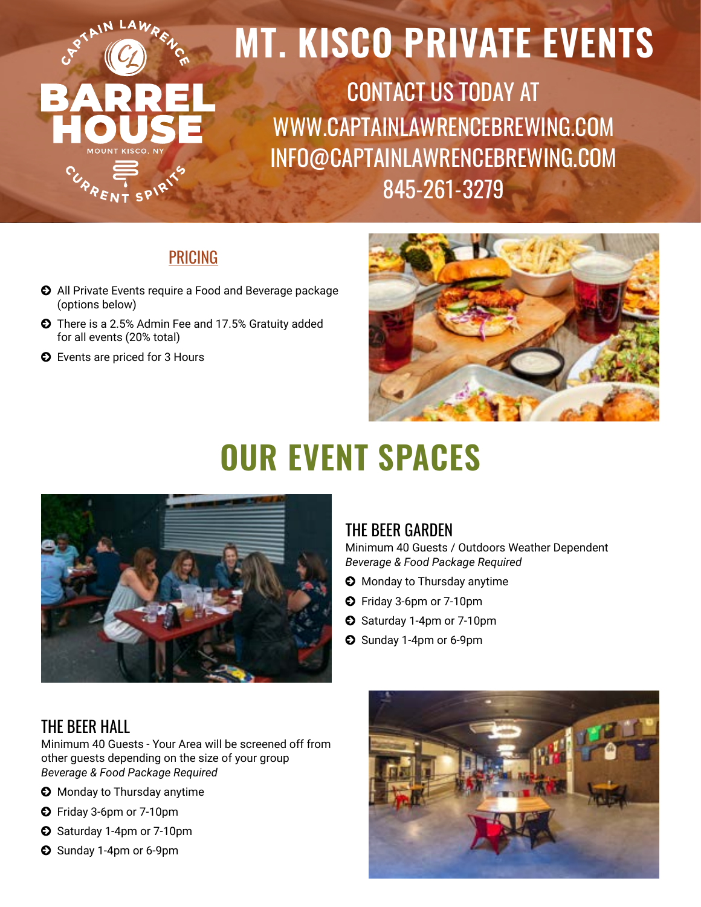

### PRICING

- © All Private Events require a Food and Beverage package (options below)
- © There is a 2.5% Admin Fee and 17.5% Gratuity added for all events (20% total)
- © Events are priced for 3 Hours



# **OUR EVENT SPACES**



### THE BEER GARDEN

Minimum 40 Guests / Outdoors Weather Dependent *Beverage & Food Package Required*

- © Monday to Thursday anytime
- © Friday 3-6pm or 7-10pm
- © Saturday 1-4pm or 7-10pm
- © Sunday 1-4pm or 6-9pm

### THE BEER HALL

Minimum 40 Guests - Your Area will be screened off from other guests depending on the size of your group *Beverage & Food Package Required*

- © Monday to Thursday anytime
- © Friday 3-6pm or 7-10pm
- © Saturday 1-4pm or 7-10pm
- © Sunday 1-4pm or 6-9pm